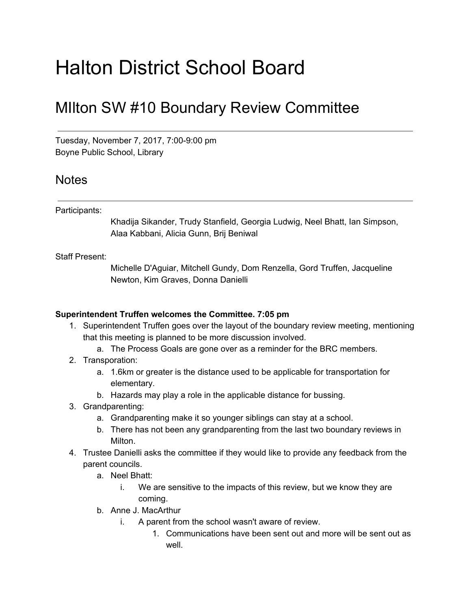# Halton District School Board

## MIlton SW #10 Boundary Review Committee

Tuesday, November 7, 2017, 7:00-9:00 pm Boyne Public School, Library

### **Notes**

#### Participants:

Khadija Sikander, Trudy Stanfield, Georgia Ludwig, Neel Bhatt, Ian Simpson, Alaa Kabbani, Alicia Gunn, Brij Beniwal

#### Staff Present:

Michelle D'Aguiar, Mitchell Gundy, Dom Renzella, Gord Truffen, Jacqueline Newton, Kim Graves, Donna Danielli

#### **Superintendent Truffen welcomes the Committee. 7:05 pm**

- 1. Superintendent Truffen goes over the layout of the boundary review meeting, mentioning that this meeting is planned to be more discussion involved.
	- a. The Process Goals are gone over as a reminder for the BRC members.
- 2. Transporation:
	- a. 1.6km or greater is the distance used to be applicable for transportation for elementary.
	- b. Hazards may play a role in the applicable distance for bussing.
- 3. Grandparenting:
	- a. Grandparenting make it so younger siblings can stay at a school.
	- b. There has not been any grandparenting from the last two boundary reviews in Milton.
- 4. Trustee Danielli asks the committee if they would like to provide any feedback from the parent councils.
	- a. Neel Bhatt:
		- i. We are sensitive to the impacts of this review, but we know they are coming.
	- b. Anne J. MacArthur
		- i. A parent from the school wasn't aware of review.
			- 1. Communications have been sent out and more will be sent out as well.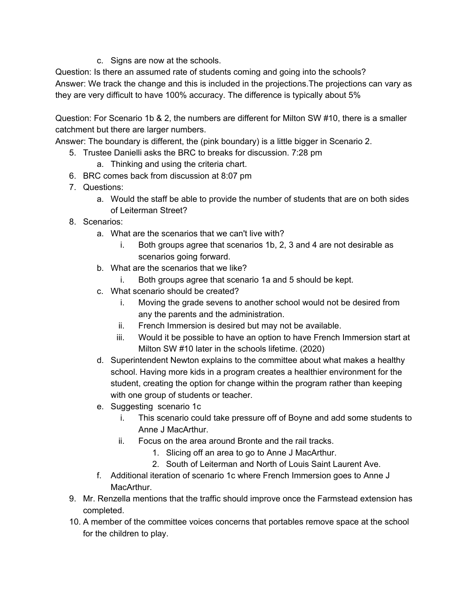c. Signs are now at the schools.

Question: Is there an assumed rate of students coming and going into the schools? Answer: We track the change and this is included in the projections.The projections can vary as they are very difficult to have 100% accuracy. The difference is typically about 5%

Question: For Scenario 1b & 2, the numbers are different for Milton SW #10, there is a smaller catchment but there are larger numbers.

Answer: The boundary is different, the (pink boundary) is a little bigger in Scenario 2.

- 5. Trustee Danielli asks the BRC to breaks for discussion. 7:28 pm
	- a. Thinking and using the criteria chart.
- 6. BRC comes back from discussion at 8:07 pm
- 7. Questions:
	- a. Would the staff be able to provide the number of students that are on both sides of Leiterman Street?
- 8. Scenarios:
	- a. What are the scenarios that we can't live with?
		- i. Both groups agree that scenarios 1b, 2, 3 and 4 are not desirable as scenarios going forward.
	- b. What are the scenarios that we like?
		- i. Both groups agree that scenario 1a and 5 should be kept.
	- c. What scenario should be created?
		- i. Moving the grade sevens to another school would not be desired from any the parents and the administration.
		- ii. French Immersion is desired but may not be available.
		- iii. Would it be possible to have an option to have French Immersion start at Milton SW #10 later in the schools lifetime. (2020)
	- d. Superintendent Newton explains to the committee about what makes a healthy school. Having more kids in a program creates a healthier environment for the student, creating the option for change within the program rather than keeping with one group of students or teacher.
	- e. Suggesting scenario 1c
		- i. This scenario could take pressure off of Boyne and add some students to Anne J MacArthur.
		- ii. Focus on the area around Bronte and the rail tracks.
			- 1. Slicing off an area to go to Anne J MacArthur.
			- 2. South of Leiterman and North of Louis Saint Laurent Ave.
	- f. Additional iteration of scenario 1c where French Immersion goes to Anne J MacArthur.
- 9. Mr. Renzella mentions that the traffic should improve once the Farmstead extension has completed.
- 10. A member of the committee voices concerns that portables remove space at the school for the children to play.